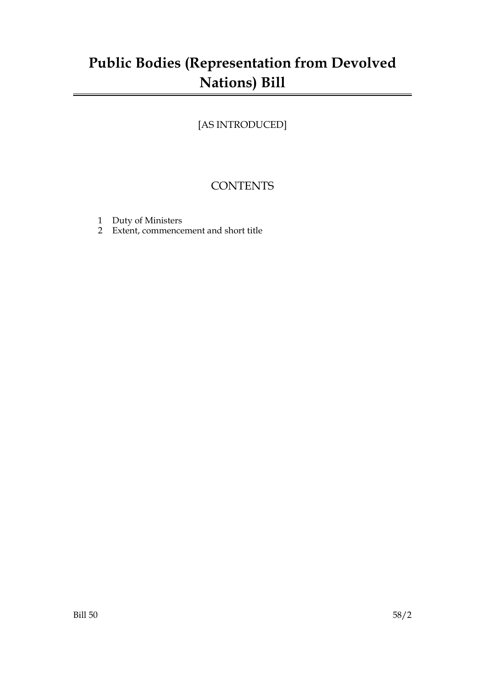# **Public Bodies (Representation from Devolved Nations) Bill**

## [AS INTRODUCED]

## **CONTENTS**

- 1 Duty of Ministers
- 2 Extent, commencement and short title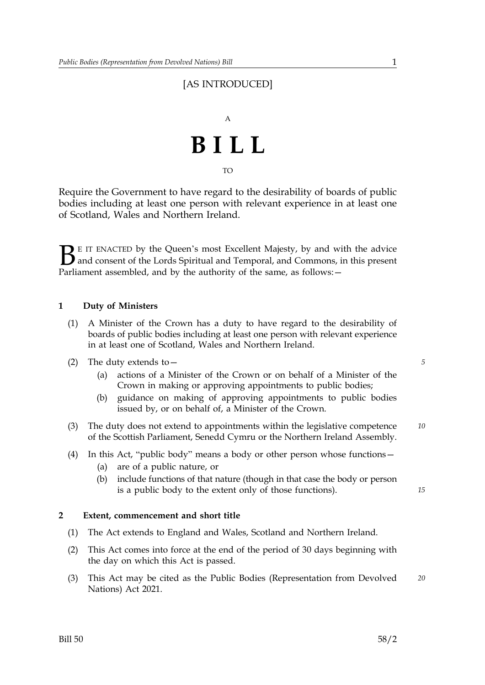### [AS INTRODUCED]

# A **BILL**

TO

Require the Government to have regard to the desirability of boards of public bodies including at least one person with relevant experience in at least one of Scotland, Wales and Northern Ireland.

 $\sum$  E IT ENACTED by the Queen's most Excellent Majesty, by and with the advice<br>and consent of the Lords Spiritual and Temporal, and Commons, in this present<br>Parliament assembled, and by the authority of the same, as foll and consent of the Lords Spiritual and Temporal, and Commons, in this present Parliament assembled, and by the authority of the same, as follows: -

#### **1 Duty of Ministers**

- (1) A Minister of the Crown has a duty to have regard to the desirability of boards of public bodies including at least one person with relevant experience in at least one of Scotland, Wales and Northern Ireland.
- (2) The duty extends to— *5*
	- (a) actions of a Minister of the Crown or on behalf of a Minister of the Crown in making or approving appointments to public bodies;
	- (b) guidance on making of approving appointments to public bodies issued by, or on behalf of, a Minister of the Crown.
- (3) The duty does not extend to appointments within the legislative competence *10* of the Scottish Parliament, Senedd Cymru or the Northern Ireland Assembly.
- (4) In this Act, "public body" means a body or other person whose functions— (a) are of a public nature, or
	- (b) include functions of that nature (though in that case the body or person is a public body to the extent only of those functions).

#### **2 Extent, commencement and short title**

- (1) The Act extends to England and Wales, Scotland and Northern Ireland.
- (2) This Act comes into force at the end of the period of 30 days beginning with the day on which this Act is passed.
- (3) This Act may be cited as the Public Bodies (Representation from Devolved *20* Nations) Act 2021.

*15*